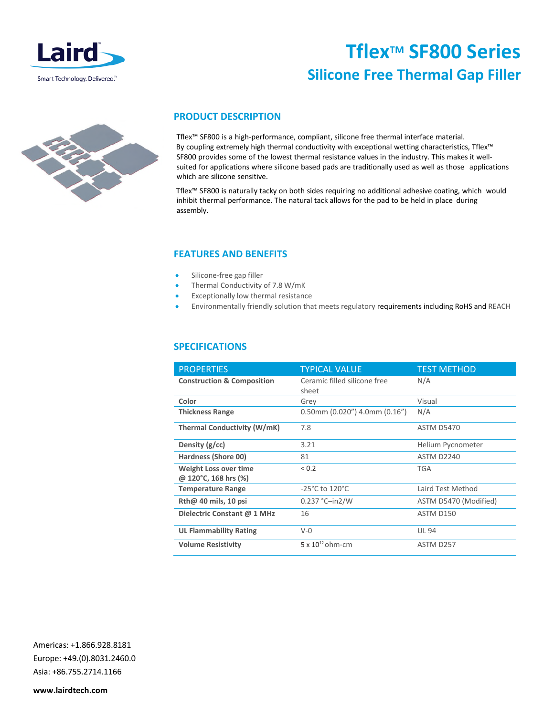

# **TflexTM SF800 Series Silicone Free Thermal Gap Filler**



## **PRODUCT DESCRIPTION**

Tflex™ SF800 is a high-performance, compliant, silicone free thermal interface material. By coupling extremely high thermal conductivity with exceptional wetting characteristics, Tflex™ SF800 provides some of the lowest thermal resistance values in the industry. This makes it wellsuited for applications where silicone based pads are traditionally used as well as those applications which are silicone sensitive.

Tflex™ SF800 is naturally tacky on both sides requiring no additional adhesive coating, which would inhibit thermal performance. The natural tack allows for the pad to be held in place during assembly.

### **FEATURES AND BENEFITS**

- Silicone-free gap filler
- Thermal Conductivity of 7.8 W/mK
- Exceptionally low thermal resistance
- Environmentally friendly solution that meets regulatory requirements including RoHS and REACH

### **SPECIFICATIONS**

| <b>PROPERTIES</b>                             | <b>TYPICAL VALUE</b>                   | <b>TEST METHOD</b>    |
|-----------------------------------------------|----------------------------------------|-----------------------|
| <b>Construction &amp; Composition</b>         | Ceramic filled silicone free<br>sheet  | N/A                   |
| Color                                         | Grey                                   | Visual                |
| <b>Thickness Range</b>                        | $0.50$ mm $(0.020'')$ 4.0mm $(0.16'')$ | N/A                   |
| <b>Thermal Conductivity (W/mK)</b>            | 7.8                                    | <b>ASTM D5470</b>     |
| Density $(g/cc)$                              | 3.21                                   | Helium Pycnometer     |
| Hardness (Shore 00)                           | 81                                     | ASTM D2240            |
| Weight Loss over time<br>@ 120°C, 168 hrs (%) | ${}_{0.2}$                             | <b>TGA</b>            |
| <b>Temperature Range</b>                      | $-25^{\circ}$ C to 120 $^{\circ}$ C    | Laird Test Method     |
| Rth@ 40 mils, 10 psi                          | $0.237 °C$ -in2/W                      | ASTM D5470 (Modified) |
| Dielectric Constant @ 1 MHz                   | 16                                     | ASTM D150             |
| <b>UL Flammability Rating</b>                 | $V - 0$                                | <b>UL 94</b>          |
| <b>Volume Resistivity</b>                     | $5 \times 10^{12}$ ohm-cm              | ASTM D257             |

Americas: +1.866.928.8181 Europe: +49.(0).8031.2460.0 Asia: +86.755.2714.1166

**www.lairdtech.com**